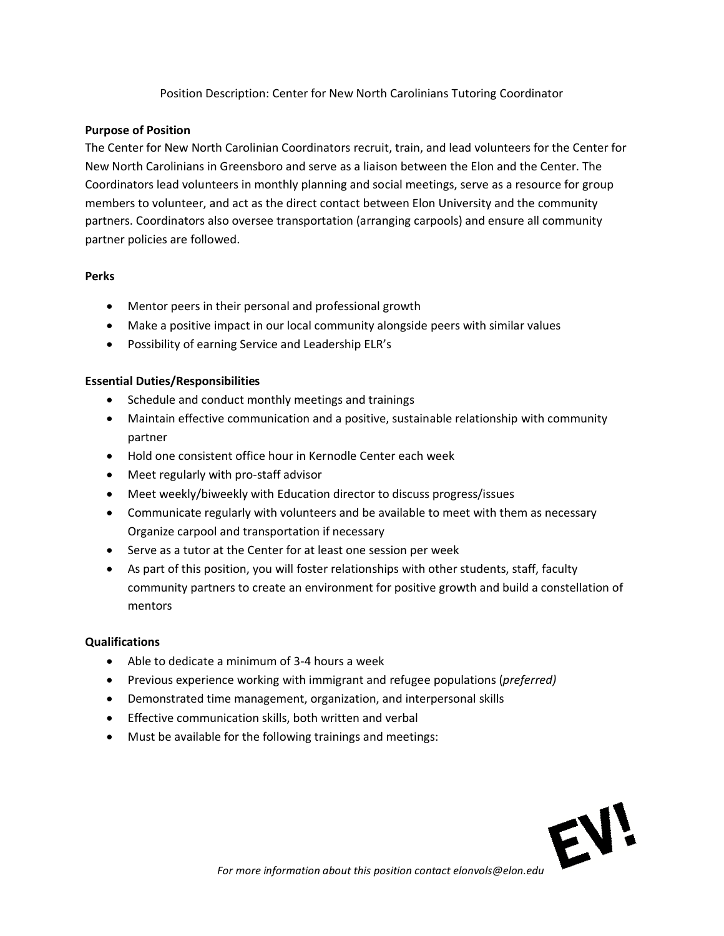# Position Description: Center for New North Carolinians Tutoring Coordinator

#### **Purpose of Position**

The Center for New North Carolinian Coordinators recruit, train, and lead volunteers for the Center for New North Carolinians in Greensboro and serve as a liaison between the Elon and the Center. The Coordinators lead volunteers in monthly planning and social meetings, serve as a resource for group members to volunteer, and act as the direct contact between Elon University and the community partners. Coordinators also oversee transportation (arranging carpools) and ensure all community partner policies are followed.

## **Perks**

- Mentor peers in their personal and professional growth
- Make a positive impact in our local community alongside peers with similar values
- Possibility of earning Service and Leadership ELR's

## **Essential Duties/Responsibilities**

- Schedule and conduct monthly meetings and trainings
- Maintain effective communication and a positive, sustainable relationship with community partner
- Hold one consistent office hour in Kernodle Center each week
- Meet regularly with pro-staff advisor
- Meet weekly/biweekly with Education director to discuss progress/issues
- Communicate regularly with volunteers and be available to meet with them as necessary Organize carpool and transportation if necessary
- Serve as a tutor at the Center for at least one session per week
- As part of this position, you will foster relationships with other students, staff, faculty community partners to create an environment for positive growth and build a constellation of mentors

#### **Qualifications**

- Able to dedicate a minimum of 3-4 hours a week
- Previous experience working with immigrant and refugee populations (*preferred)*
- Demonstrated time management, organization, and interpersonal skills
- Effective communication skills, both written and verbal
- Must be available for the following trainings and meetings: